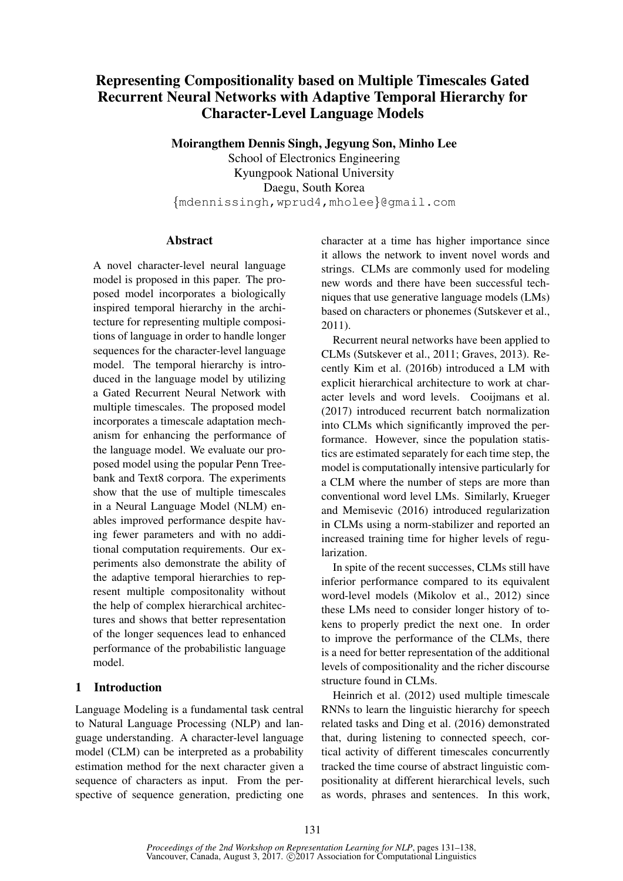# Representing Compositionality based on Multiple Timescales Gated Recurrent Neural Networks with Adaptive Temporal Hierarchy for Character-Level Language Models

Moirangthem Dennis Singh, Jegyung Son, Minho Lee

School of Electronics Engineering Kyungpook National University Daegu, South Korea {mdennissingh,wprud4,mholee}@gmail.com

## Abstract

A novel character-level neural language model is proposed in this paper. The proposed model incorporates a biologically inspired temporal hierarchy in the architecture for representing multiple compositions of language in order to handle longer sequences for the character-level language model. The temporal hierarchy is introduced in the language model by utilizing a Gated Recurrent Neural Network with multiple timescales. The proposed model incorporates a timescale adaptation mechanism for enhancing the performance of the language model. We evaluate our proposed model using the popular Penn Treebank and Text8 corpora. The experiments show that the use of multiple timescales in a Neural Language Model (NLM) enables improved performance despite having fewer parameters and with no additional computation requirements. Our experiments also demonstrate the ability of the adaptive temporal hierarchies to represent multiple compositonality without the help of complex hierarchical architectures and shows that better representation of the longer sequences lead to enhanced performance of the probabilistic language model.

# 1 Introduction

Language Modeling is a fundamental task central to Natural Language Processing (NLP) and language understanding. A character-level language model (CLM) can be interpreted as a probability estimation method for the next character given a sequence of characters as input. From the perspective of sequence generation, predicting one character at a time has higher importance since it allows the network to invent novel words and strings. CLMs are commonly used for modeling new words and there have been successful techniques that use generative language models (LMs) based on characters or phonemes (Sutskever et al., 2011).

Recurrent neural networks have been applied to CLMs (Sutskever et al., 2011; Graves, 2013). Recently Kim et al. (2016b) introduced a LM with explicit hierarchical architecture to work at character levels and word levels. Cooijmans et al. (2017) introduced recurrent batch normalization into CLMs which significantly improved the performance. However, since the population statistics are estimated separately for each time step, the model is computationally intensive particularly for a CLM where the number of steps are more than conventional word level LMs. Similarly, Krueger and Memisevic (2016) introduced regularization in CLMs using a norm-stabilizer and reported an increased training time for higher levels of regularization.

In spite of the recent successes, CLMs still have inferior performance compared to its equivalent word-level models (Mikolov et al., 2012) since these LMs need to consider longer history of tokens to properly predict the next one. In order to improve the performance of the CLMs, there is a need for better representation of the additional levels of compositionality and the richer discourse structure found in CLMs.

Heinrich et al. (2012) used multiple timescale RNNs to learn the linguistic hierarchy for speech related tasks and Ding et al. (2016) demonstrated that, during listening to connected speech, cortical activity of different timescales concurrently tracked the time course of abstract linguistic compositionality at different hierarchical levels, such as words, phrases and sentences. In this work,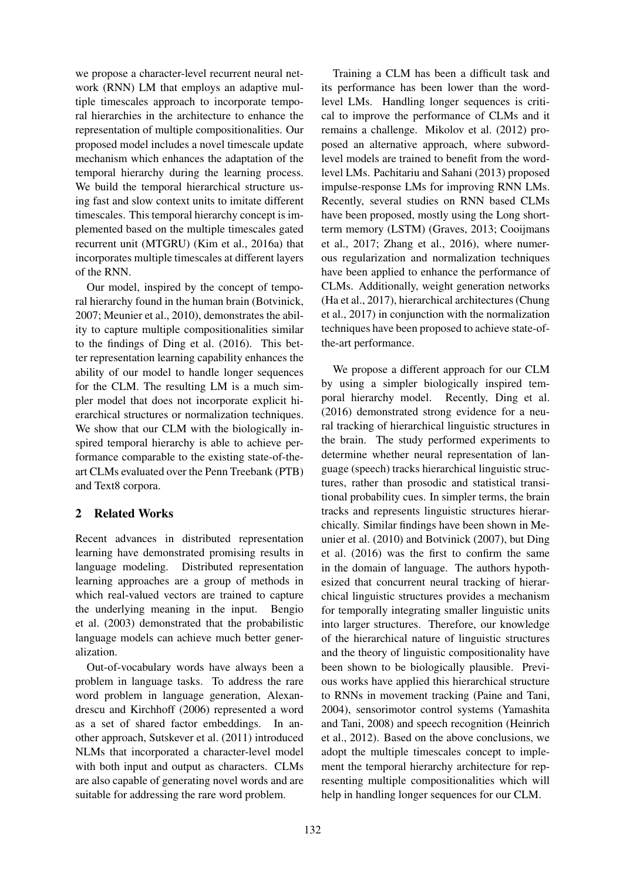we propose a character-level recurrent neural network (RNN) LM that employs an adaptive multiple timescales approach to incorporate temporal hierarchies in the architecture to enhance the representation of multiple compositionalities. Our proposed model includes a novel timescale update mechanism which enhances the adaptation of the temporal hierarchy during the learning process. We build the temporal hierarchical structure using fast and slow context units to imitate different timescales. This temporal hierarchy concept is implemented based on the multiple timescales gated recurrent unit (MTGRU) (Kim et al., 2016a) that incorporates multiple timescales at different layers of the RNN.

Our model, inspired by the concept of temporal hierarchy found in the human brain (Botvinick, 2007; Meunier et al., 2010), demonstrates the ability to capture multiple compositionalities similar to the findings of Ding et al. (2016). This better representation learning capability enhances the ability of our model to handle longer sequences for the CLM. The resulting LM is a much simpler model that does not incorporate explicit hierarchical structures or normalization techniques. We show that our CLM with the biologically inspired temporal hierarchy is able to achieve performance comparable to the existing state-of-theart CLMs evaluated over the Penn Treebank (PTB) and Text8 corpora.

# 2 Related Works

Recent advances in distributed representation learning have demonstrated promising results in language modeling. Distributed representation learning approaches are a group of methods in which real-valued vectors are trained to capture the underlying meaning in the input. Bengio et al. (2003) demonstrated that the probabilistic language models can achieve much better generalization.

Out-of-vocabulary words have always been a problem in language tasks. To address the rare word problem in language generation, Alexandrescu and Kirchhoff (2006) represented a word as a set of shared factor embeddings. In another approach, Sutskever et al. (2011) introduced NLMs that incorporated a character-level model with both input and output as characters. CLMs are also capable of generating novel words and are suitable for addressing the rare word problem.

Training a CLM has been a difficult task and its performance has been lower than the wordlevel LMs. Handling longer sequences is critical to improve the performance of CLMs and it remains a challenge. Mikolov et al. (2012) proposed an alternative approach, where subwordlevel models are trained to benefit from the wordlevel LMs. Pachitariu and Sahani (2013) proposed impulse-response LMs for improving RNN LMs. Recently, several studies on RNN based CLMs have been proposed, mostly using the Long shortterm memory (LSTM) (Graves, 2013; Cooijmans et al., 2017; Zhang et al., 2016), where numerous regularization and normalization techniques have been applied to enhance the performance of CLMs. Additionally, weight generation networks (Ha et al., 2017), hierarchical architectures (Chung et al., 2017) in conjunction with the normalization techniques have been proposed to achieve state-ofthe-art performance.

We propose a different approach for our CLM by using a simpler biologically inspired temporal hierarchy model. Recently, Ding et al. (2016) demonstrated strong evidence for a neural tracking of hierarchical linguistic structures in the brain. The study performed experiments to determine whether neural representation of language (speech) tracks hierarchical linguistic structures, rather than prosodic and statistical transitional probability cues. In simpler terms, the brain tracks and represents linguistic structures hierarchically. Similar findings have been shown in Meunier et al. (2010) and Botvinick (2007), but Ding et al. (2016) was the first to confirm the same in the domain of language. The authors hypothesized that concurrent neural tracking of hierarchical linguistic structures provides a mechanism for temporally integrating smaller linguistic units into larger structures. Therefore, our knowledge of the hierarchical nature of linguistic structures and the theory of linguistic compositionality have been shown to be biologically plausible. Previous works have applied this hierarchical structure to RNNs in movement tracking (Paine and Tani, 2004), sensorimotor control systems (Yamashita and Tani, 2008) and speech recognition (Heinrich et al., 2012). Based on the above conclusions, we adopt the multiple timescales concept to implement the temporal hierarchy architecture for representing multiple compositionalities which will help in handling longer sequences for our CLM.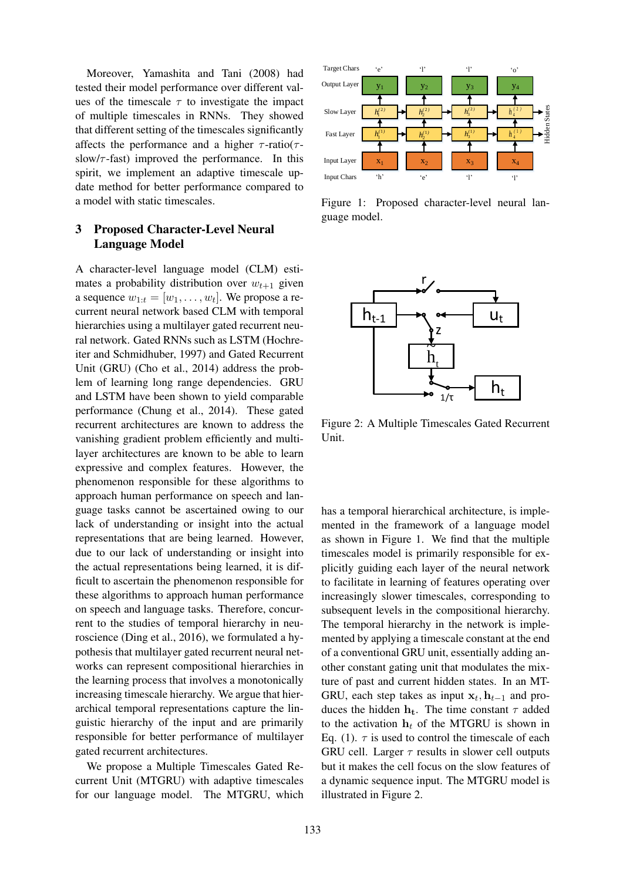Moreover, Yamashita and Tani (2008) had tested their model performance over different values of the timescale  $\tau$  to investigate the impact of multiple timescales in RNNs. They showed that different setting of the timescales significantly affects the performance and a higher  $\tau$ -ratio( $\tau$ slow/ $\tau$ -fast) improved the performance. In this spirit, we implement an adaptive timescale update method for better performance compared to a model with static timescales.

# 3 Proposed Character-Level Neural Language Model

A character-level language model (CLM) estimates a probability distribution over  $w_{t+1}$  given a sequence  $w_{1:t} = [w_1, \ldots, w_t]$ . We propose a recurrent neural network based CLM with temporal hierarchies using a multilayer gated recurrent neural network. Gated RNNs such as LSTM (Hochreiter and Schmidhuber, 1997) and Gated Recurrent Unit (GRU) (Cho et al., 2014) address the problem of learning long range dependencies. GRU and LSTM have been shown to yield comparable performance (Chung et al., 2014). These gated recurrent architectures are known to address the vanishing gradient problem efficiently and multilayer architectures are known to be able to learn expressive and complex features. However, the phenomenon responsible for these algorithms to approach human performance on speech and language tasks cannot be ascertained owing to our lack of understanding or insight into the actual representations that are being learned. However, due to our lack of understanding or insight into the actual representations being learned, it is difficult to ascertain the phenomenon responsible for these algorithms to approach human performance on speech and language tasks. Therefore, concurrent to the studies of temporal hierarchy in neuroscience (Ding et al., 2016), we formulated a hypothesis that multilayer gated recurrent neural networks can represent compositional hierarchies in the learning process that involves a monotonically increasing timescale hierarchy. We argue that hierarchical temporal representations capture the linguistic hierarchy of the input and are primarily responsible for better performance of multilayer gated recurrent architectures.

We propose a Multiple Timescales Gated Recurrent Unit (MTGRU) with adaptive timescales for our language model. The MTGRU, which



Figure 1: Proposed character-level neural language model.



Figure 2: A Multiple Timescales Gated Recurrent Unit.

has a temporal hierarchical architecture, is implemented in the framework of a language model as shown in Figure 1. We find that the multiple timescales model is primarily responsible for explicitly guiding each layer of the neural network to facilitate in learning of features operating over increasingly slower timescales, corresponding to subsequent levels in the compositional hierarchy. The temporal hierarchy in the network is implemented by applying a timescale constant at the end of a conventional GRU unit, essentially adding another constant gating unit that modulates the mixture of past and current hidden states. In an MT-GRU, each step takes as input  $x_t$ ,  $h_{t-1}$  and produces the hidden  $h_t$ . The time constant  $\tau$  added to the activation  $h_t$  of the MTGRU is shown in Eq. (1).  $\tau$  is used to control the timescale of each GRU cell. Larger  $\tau$  results in slower cell outputs but it makes the cell focus on the slow features of a dynamic sequence input. The MTGRU model is illustrated in Figure 2.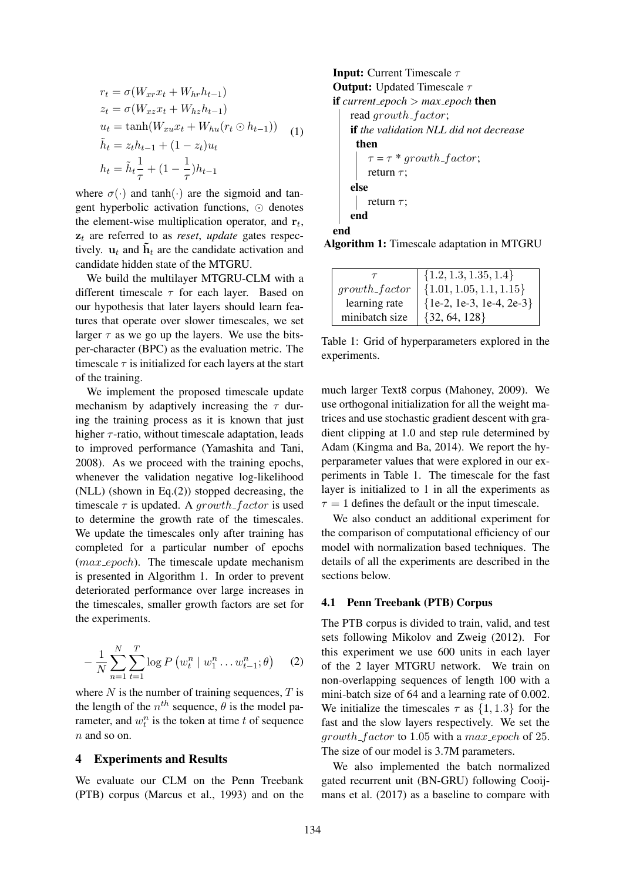$$
r_t = \sigma(W_{xr}x_t + W_{hr}h_{t-1})
$$
  
\n
$$
z_t = \sigma(W_{xz}x_t + W_{hz}h_{t-1})
$$
  
\n
$$
u_t = \tanh(W_{xu}x_t + W_{hu}(r_t \odot h_{t-1}))
$$
  
\n
$$
\tilde{h}_t = z_th_{t-1} + (1 - z_t)u_t
$$
  
\n
$$
h_t = \tilde{h}_t \frac{1}{\tau} + (1 - \frac{1}{\tau})h_{t-1}
$$
 (1)

where  $\sigma(\cdot)$  and tanh( $\cdot$ ) are the sigmoid and tangent hyperbolic activation functions,  $\odot$  denotes the element-wise multiplication operator, and  $r_t$ ,  $z_t$  are referred to as *reset*, *update* gates respectively.  $\mathbf{u}_t$  and  $\tilde{\mathbf{h}}_t$  are the candidate activation and candidate hidden state of the MTGRU.

We build the multilayer MTGRU-CLM with a different timescale  $\tau$  for each layer. Based on our hypothesis that later layers should learn features that operate over slower timescales, we set larger  $\tau$  as we go up the layers. We use the bitsper-character (BPC) as the evaluation metric. The timescale  $\tau$  is initialized for each layers at the start of the training.

We implement the proposed timescale update mechanism by adaptively increasing the  $\tau$  during the training process as it is known that just higher  $\tau$ -ratio, without timescale adaptation, leads to improved performance (Yamashita and Tani, 2008). As we proceed with the training epochs, whenever the validation negative log-likelihood (NLL) (shown in Eq.(2)) stopped decreasing, the timescale  $\tau$  is updated. A growth-factor is used to determine the growth rate of the timescales. We update the timescales only after training has completed for a particular number of epochs (*max\_epoch*). The timescale update mechanism is presented in Algorithm 1. In order to prevent deteriorated performance over large increases in the timescales, smaller growth factors are set for the experiments.

$$
- \frac{1}{N} \sum_{n=1}^{N} \sum_{t=1}^{T} \log P \left( w_t^n \mid w_1^n \dots w_{t-1}^n; \theta \right) \tag{2}
$$

where  $N$  is the number of training sequences,  $T$  is the length of the  $n^{th}$  sequence,  $\theta$  is the model parameter, and  $w_t^n$  is the token at time t of sequence n and so on.

#### 4 Experiments and Results

We evaluate our CLM on the Penn Treebank (PTB) corpus (Marcus et al., 1993) and on the **Input:** Current Timescale  $\tau$ **Output:** Updated Timescale  $\tau$ if *current\_epoch* >  $max$ \_*epoch* then read growth\_factor; if *the validation NLL did not decrease* then  $\tau = \tau * qrowth~factor;$ return  $\tau$ ; else | return  $\tau$ ; end end

Algorithm 1: Timescale adaptation in MTGRU

|                  | $\{1.2, 1.3, 1.35, 1.4\}$    |
|------------------|------------------------------|
| $growth\_factor$ | $\{1.01, 1.05, 1.1, 1.15\}$  |
| learning rate    | $\{1e-2, 1e-3, 1e-4, 2e-3\}$ |
| minibatch size   | $\{32, 64, 128\}$            |

Table 1: Grid of hyperparameters explored in the experiments.

much larger Text8 corpus (Mahoney, 2009). We use orthogonal initialization for all the weight matrices and use stochastic gradient descent with gradient clipping at 1.0 and step rule determined by Adam (Kingma and Ba, 2014). We report the hyperparameter values that were explored in our experiments in Table 1. The timescale for the fast layer is initialized to 1 in all the experiments as  $\tau = 1$  defines the default or the input timescale.

We also conduct an additional experiment for the comparison of computational efficiency of our model with normalization based techniques. The details of all the experiments are described in the sections below.

#### 4.1 Penn Treebank (PTB) Corpus

The PTB corpus is divided to train, valid, and test sets following Mikolov and Zweig (2012). For this experiment we use 600 units in each layer of the 2 layer MTGRU network. We train on non-overlapping sequences of length 100 with a mini-batch size of 64 and a learning rate of 0.002. We initialize the timescales  $\tau$  as  $\{1, 1.3\}$  for the fast and the slow layers respectively. We set the  $growth_factor$  to 1.05 with a max-epoch of 25. The size of our model is 3.7M parameters.

We also implemented the batch normalized gated recurrent unit (BN-GRU) following Cooijmans et al. (2017) as a baseline to compare with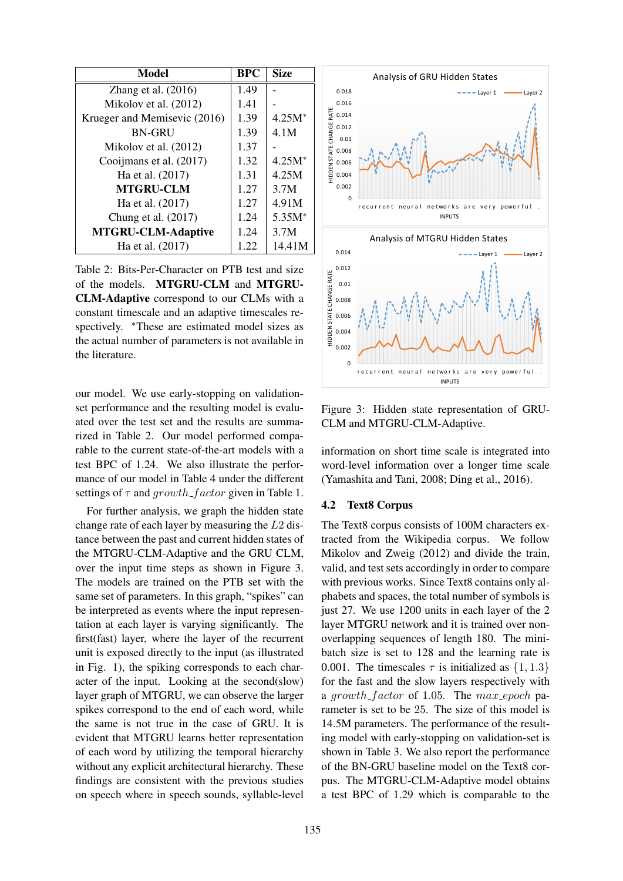| Model                        | <b>BPC</b> | <b>Size</b> |
|------------------------------|------------|-------------|
| Zhang et al. $(2016)$        | 1.49       |             |
| Mikolov et al. (2012)        | 1.41       |             |
| Krueger and Memisevic (2016) | 1.39       | $4.25M*$    |
| <b>BN-GRU</b>                | 1.39       | 4.1M        |
| Mikolov et al. (2012)        | 1.37       |             |
| Cooijmans et al. (2017)      | 1.32       | $4.25M*$    |
| Ha et al. (2017)             | 1.31       | 4.25M       |
| <b>MTGRU-CLM</b>             | 1.27       | 3.7M        |
| Ha et al. (2017)             | 1.27       | 4.91M       |
| Chung et al. (2017)          | 1.24       | $5.35M*$    |
| <b>MTGRU-CLM-Adaptive</b>    | 1.24       | 3.7M        |
| Ha et al. (2017)             | 1.22       | 14.41M      |

Table 2: Bits-Per-Character on PTB test and size of the models. MTGRU-CLM and MTGRU-CLM-Adaptive correspond to our CLMs with a constant timescale and an adaptive timescales respectively. <sup>\*</sup>These are estimated model sizes as the actual number of parameters is not available in the literature.

our model. We use early-stopping on validationset performance and the resulting model is evaluated over the test set and the results are summarized in Table 2. Our model performed comparable to the current state-of-the-art models with a test BPC of 1.24. We also illustrate the performance of our model in Table 4 under the different settings of  $\tau$  and growth factor given in Table 1.

For further analysis, we graph the hidden state change rate of each layer by measuring the L2 distance between the past and current hidden states of the MTGRU-CLM-Adaptive and the GRU CLM, over the input time steps as shown in Figure 3. The models are trained on the PTB set with the same set of parameters. In this graph, "spikes" can be interpreted as events where the input representation at each layer is varying significantly. The first(fast) layer, where the layer of the recurrent unit is exposed directly to the input (as illustrated in Fig. 1), the spiking corresponds to each character of the input. Looking at the second(slow) layer graph of MTGRU, we can observe the larger spikes correspond to the end of each word, while the same is not true in the case of GRU. It is evident that MTGRU learns better representation of each word by utilizing the temporal hierarchy without any explicit architectural hierarchy. These findings are consistent with the previous studies on speech where in speech sounds, syllable-level



Figure 3: Hidden state representation of GRU-CLM and MTGRU-CLM-Adaptive.

information on short time scale is integrated into word-level information over a longer time scale (Yamashita and Tani, 2008; Ding et al., 2016).

#### 4.2 Text8 Corpus

The Text8 corpus consists of 100M characters extracted from the Wikipedia corpus. We follow Mikolov and Zweig (2012) and divide the train, valid, and test sets accordingly in order to compare with previous works. Since Text8 contains only alphabets and spaces, the total number of symbols is just 27. We use 1200 units in each layer of the 2 layer MTGRU network and it is trained over nonoverlapping sequences of length 180. The minibatch size is set to 128 and the learning rate is 0.001. The timescales  $\tau$  is initialized as  $\{1, 1.3\}$ for the fast and the slow layers respectively with a growth factor of 1.05. The max epoch parameter is set to be 25. The size of this model is 14.5M parameters. The performance of the resulting model with early-stopping on validation-set is shown in Table 3. We also report the performance of the BN-GRU baseline model on the Text8 corpus. The MTGRU-CLM-Adaptive model obtains a test BPC of 1.29 which is comparable to the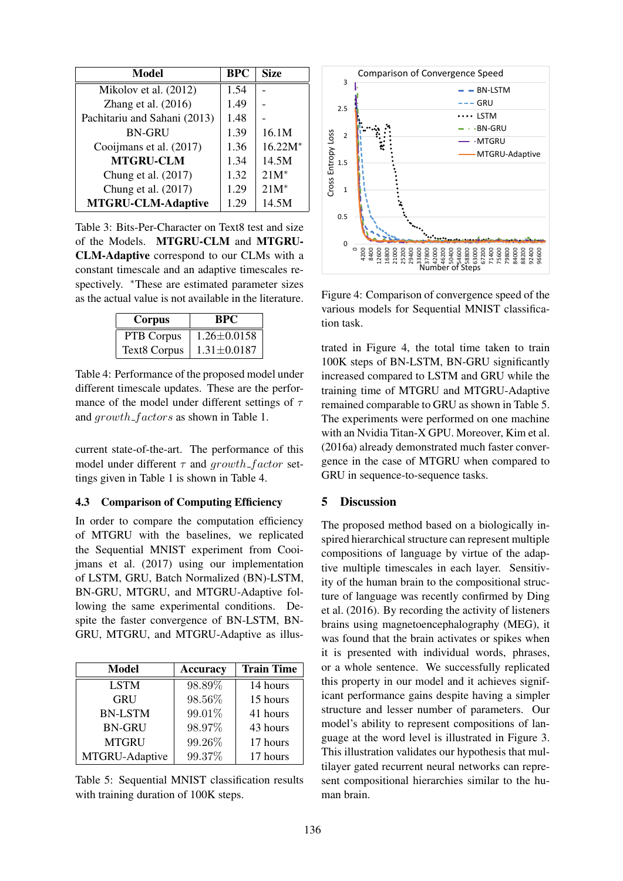| Model                        | <b>BPC</b> | <b>Size</b> |
|------------------------------|------------|-------------|
| Mikolov et al. (2012)        | 1.54       |             |
| Zhang et al. $(2016)$        | 1.49       |             |
| Pachitariu and Sahani (2013) | 1.48       |             |
| <b>BN-GRU</b>                | 1.39       | 16.1M       |
| Cooijmans et al. (2017)      | 1.36       | $16.22M*$   |
| <b>MTGRU-CLM</b>             | 1.34       | 14.5M       |
| Chung et al. (2017)          | 1.32       | $21M^*$     |
| Chung et al. (2017)          | 1.29       | $21M^*$     |
| <b>MTGRU-CLM-Adaptive</b>    | 1.29       | 14.5M       |

Table 3: Bits-Per-Character on Text8 test and size of the Models. MTGRU-CLM and MTGRU-CLM-Adaptive correspond to our CLMs with a constant timescale and an adaptive timescales respectively. <sup>\*</sup>These are estimated parameter sizes as the actual value is not available in the literature.

| Corpus       | BPC               |  |
|--------------|-------------------|--|
| PTB Corpus   | $1.26 \pm 0.0158$ |  |
| Text8 Corpus | $1.31 \pm 0.0187$ |  |

Table 4: Performance of the proposed model under different timescale updates. These are the performance of the model under different settings of  $\tau$ and growth factors as shown in Table 1.

current state-of-the-art. The performance of this model under different  $\tau$  and growth factor settings given in Table 1 is shown in Table 4.

#### 4.3 Comparison of Computing Efficiency

In order to compare the computation efficiency of MTGRU with the baselines, we replicated the Sequential MNIST experiment from Cooijmans et al. (2017) using our implementation of LSTM, GRU, Batch Normalized (BN)-LSTM, BN-GRU, MTGRU, and MTGRU-Adaptive following the same experimental conditions. Despite the faster convergence of BN-LSTM, BN-GRU, MTGRU, and MTGRU-Adaptive as illus-

| Model          | <b>Accuracy</b> | <b>Train Time</b> |
|----------------|-----------------|-------------------|
| <b>LSTM</b>    | 98.89%          | 14 hours          |
| <b>GRU</b>     | 98.56%          | 15 hours          |
| <b>BN-LSTM</b> | 99.01%          | 41 hours          |
| <b>BN-GRU</b>  | 98.97%          | 43 hours          |
| <b>MTGRU</b>   | 99.26%          | 17 hours          |
| MTGRU-Adaptive | 99.37%          | 17 hours          |

Table 5: Sequential MNIST classification results with training duration of 100K steps.



Figure 4: Comparison of convergence speed of the various models for Sequential MNIST classification task.

trated in Figure 4, the total time taken to train 100K steps of BN-LSTM, BN-GRU significantly increased compared to LSTM and GRU while the training time of MTGRU and MTGRU-Adaptive remained comparable to GRU as shown in Table 5. The experiments were performed on one machine with an Nvidia Titan-X GPU. Moreover, Kim et al. (2016a) already demonstrated much faster convergence in the case of MTGRU when compared to GRU in sequence-to-sequence tasks.

## 5 Discussion

The proposed method based on a biologically inspired hierarchical structure can represent multiple compositions of language by virtue of the adaptive multiple timescales in each layer. Sensitivity of the human brain to the compositional structure of language was recently confirmed by Ding et al. (2016). By recording the activity of listeners brains using magnetoencephalography (MEG), it was found that the brain activates or spikes when it is presented with individual words, phrases, or a whole sentence. We successfully replicated this property in our model and it achieves significant performance gains despite having a simpler structure and lesser number of parameters. Our model's ability to represent compositions of language at the word level is illustrated in Figure 3. This illustration validates our hypothesis that multilayer gated recurrent neural networks can represent compositional hierarchies similar to the human brain.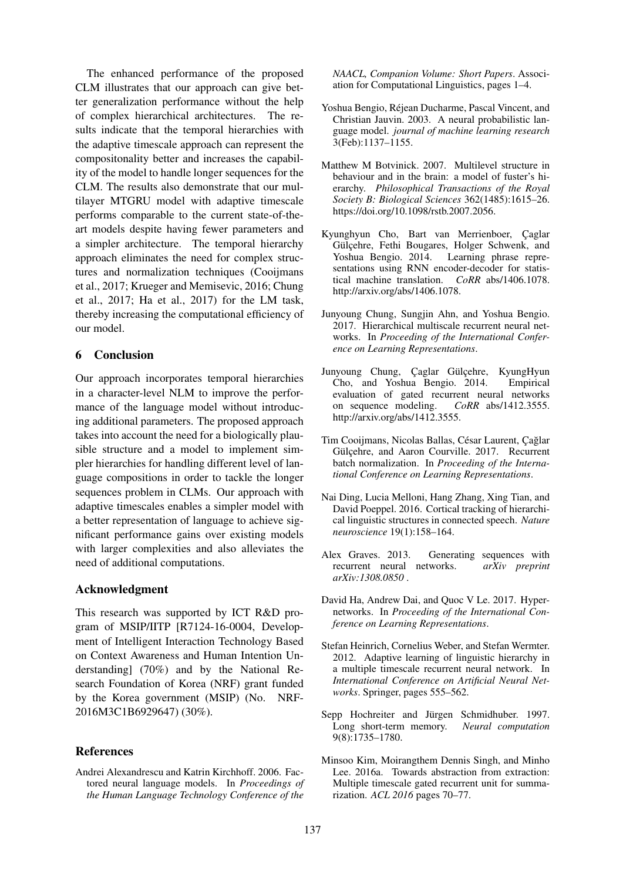The enhanced performance of the proposed CLM illustrates that our approach can give better generalization performance without the help of complex hierarchical architectures. The results indicate that the temporal hierarchies with the adaptive timescale approach can represent the compositonality better and increases the capability of the model to handle longer sequences for the CLM. The results also demonstrate that our multilayer MTGRU model with adaptive timescale performs comparable to the current state-of-theart models despite having fewer parameters and a simpler architecture. The temporal hierarchy approach eliminates the need for complex structures and normalization techniques (Cooijmans et al., 2017; Krueger and Memisevic, 2016; Chung et al., 2017; Ha et al., 2017) for the LM task, thereby increasing the computational efficiency of our model.

## 6 Conclusion

Our approach incorporates temporal hierarchies in a character-level NLM to improve the performance of the language model without introducing additional parameters. The proposed approach takes into account the need for a biologically plausible structure and a model to implement simpler hierarchies for handling different level of language compositions in order to tackle the longer sequences problem in CLMs. Our approach with adaptive timescales enables a simpler model with a better representation of language to achieve significant performance gains over existing models with larger complexities and also alleviates the need of additional computations.

#### Acknowledgment

This research was supported by ICT R&D program of MSIP/IITP [R7124-16-0004, Development of Intelligent Interaction Technology Based on Context Awareness and Human Intention Understanding] (70%) and by the National Research Foundation of Korea (NRF) grant funded by the Korea government (MSIP) (No. NRF-2016M3C1B6929647) (30%).

#### References

Andrei Alexandrescu and Katrin Kirchhoff. 2006. Factored neural language models. In *Proceedings of the Human Language Technology Conference of the*

*NAACL, Companion Volume: Short Papers*. Association for Computational Linguistics, pages 1–4.

- Yoshua Bengio, Rejean Ducharme, Pascal Vincent, and ´ Christian Jauvin. 2003. A neural probabilistic language model. *journal of machine learning research* 3(Feb):1137–1155.
- Matthew M Botvinick. 2007. Multilevel structure in behaviour and in the brain: a model of fuster's hierarchy. *Philosophical Transactions of the Royal Society B: Biological Sciences* 362(1485):1615–26. https://doi.org/10.1098/rstb.2007.2056.
- Kyunghyun Cho, Bart van Merrienboer, Çaglar Gülçehre, Fethi Bougares, Holger Schwenk, and Yoshua Bengio. 2014. Learning phrase representations using RNN encoder-decoder for statistical machine translation. *CoRR* abs/1406.1078. http://arxiv.org/abs/1406.1078.
- Junyoung Chung, Sungjin Ahn, and Yoshua Bengio. 2017. Hierarchical multiscale recurrent neural networks. In *Proceeding of the International Conference on Learning Representations*.
- Junyoung Chung, Çaglar Gülçehre, KyungHyun Cho, and Yoshua Bengio. 2014. Empirical evaluation of gated recurrent neural networks<br>on sequence modeling. *CoRR* abs/1412.3555. on sequence modeling. http://arxiv.org/abs/1412.3555.
- Tim Cooijmans, Nicolas Ballas, César Laurent, Cağlar Gülçehre, and Aaron Courville. 2017. Recurrent batch normalization. In *Proceeding of the International Conference on Learning Representations*.
- Nai Ding, Lucia Melloni, Hang Zhang, Xing Tian, and David Poeppel. 2016. Cortical tracking of hierarchical linguistic structures in connected speech. *Nature neuroscience* 19(1):158–164.
- Alex Graves. 2013. Generating sequences with recurrent neural networks. *arXiv preprint arXiv:1308.0850* .
- David Ha, Andrew Dai, and Quoc V Le. 2017. Hypernetworks. In *Proceeding of the International Conference on Learning Representations*.
- Stefan Heinrich, Cornelius Weber, and Stefan Wermter. 2012. Adaptive learning of linguistic hierarchy in a multiple timescale recurrent neural network. In *International Conference on Artificial Neural Networks*. Springer, pages 555–562.
- Sepp Hochreiter and Jürgen Schmidhuber. 1997. Long short-term memory. *Neural computation* 9(8):1735–1780.
- Minsoo Kim, Moirangthem Dennis Singh, and Minho Lee. 2016a. Towards abstraction from extraction: Multiple timescale gated recurrent unit for summarization. *ACL 2016* pages 70–77.